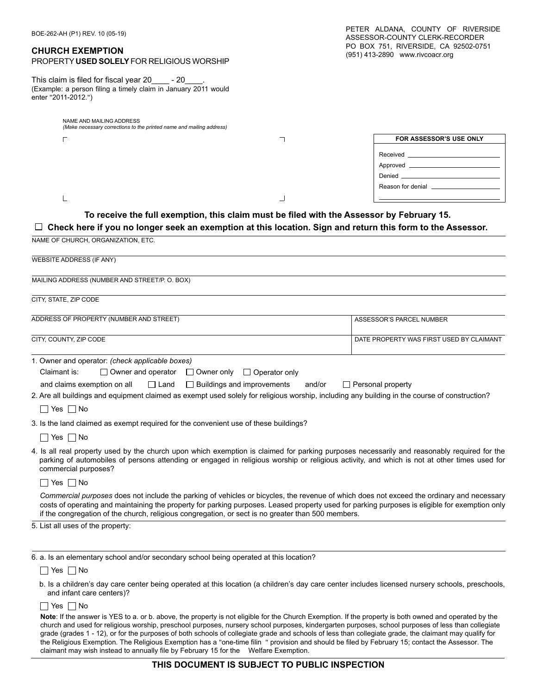#### **CHURCH EXEMPTION**

 $\Gamma$ 

L

## PROPERTY **USED SOLELY** FOR RELIGIOUS WORSHIP

This claim is filed for fiscal year 20\_\_\_\_\_ - 20\_ (Example: a person filing a timely claim in January 2011 would enter "2011-2012.")

NAME AND MAILING ADDRESS

| (Make necessary corrections to the printed name and mailing address) |  |                                                                                     |  |  |
|----------------------------------------------------------------------|--|-------------------------------------------------------------------------------------|--|--|
|                                                                      |  | FOR ASSESSOR'S USE ONLY                                                             |  |  |
|                                                                      |  | Received _<br>Approved<br>Denied <b>Denian Denian Property</b><br>Reason for denial |  |  |
|                                                                      |  |                                                                                     |  |  |

## **To receive the full exemption, this claim must be filed with the Assessor by February 15.**

#### **Check here if you no longer seek an exemption at this location. Sign and return this form to the Assessor.**

| NAME OF CHURCH, ORGANIZATION, ETC.                                                                                                                                                                                                                                                                                                                                                                  |                                          |
|-----------------------------------------------------------------------------------------------------------------------------------------------------------------------------------------------------------------------------------------------------------------------------------------------------------------------------------------------------------------------------------------------------|------------------------------------------|
| <b>WEBSITE ADDRESS (IF ANY)</b>                                                                                                                                                                                                                                                                                                                                                                     |                                          |
| MAILING ADDRESS (NUMBER AND STREET/P. O. BOX)                                                                                                                                                                                                                                                                                                                                                       |                                          |
| CITY. STATE. ZIP CODE                                                                                                                                                                                                                                                                                                                                                                               |                                          |
| ADDRESS OF PROPERTY (NUMBER AND STREET)                                                                                                                                                                                                                                                                                                                                                             | <b>ASSESSOR'S PARCEL NUMBER</b>          |
| CITY, COUNTY, ZIP CODE                                                                                                                                                                                                                                                                                                                                                                              | DATE PROPERTY WAS FIRST USED BY CLAIMANT |
| 1. Owner and operator: (check applicable boxes)<br>Claimant is:<br>$\Box$ Owner and operator $\Box$ Owner only $\Box$ Operator only<br>and claims exemption on all $\Box$ Land<br>$\Box$ Buildings and improvements and/or<br>2. Are all buildings and equipment claimed as exempt used solely for religious worship, including any building in the course of construction?<br>$\Box$ Yes $\Box$ No | $\Box$ Personal property                 |
| 3. Is the land claimed as exempt required for the convenient use of these buildings?<br>$\Box$ Yes $\Box$ No                                                                                                                                                                                                                                                                                        |                                          |
| 4. Is all real property used by the church upon which exemption is claimed for parking purposes necessarily and reasonably required for the<br>parking of automobiles of persons attending or engaged in religious worship or religious activity, and which is not at other times used for<br>commercial purposes?                                                                                  |                                          |
| Yes $\Box$ No                                                                                                                                                                                                                                                                                                                                                                                       |                                          |
|                                                                                                                                                                                                                                                                                                                                                                                                     |                                          |

*Commercial purposes* does not include the parking of vehicles or bicycles, the revenue of which does not exceed the ordinary and necessary costs of operating and maintaining the property for parking purposes. Leased property used for parking purposes is eligible for exemption only if the congregation of the church, religious congregation, or sect is no greater than 500 members.

5. List all uses of the property:

6. a. Is an elementary school and/or secondary school being operated at this location?

 $\Box$  Yes  $\Box$  No

b. Is a children's day care center being operated at this location (a children's day care center includes licensed nursery schools, preschools, and infant care centers)?

 $\Box$  Yes  $\Box$  No

**Note**: If the answer is YES to a. or b. above, the property is not eligible for the Church Exemption. If the property is both owned and operated by the church and used for religious worship, preschool purposes, nursery school purposes, kindergarten purposes, school purposes of less than collegiate grade (grades 1 - 12), or for the purposes of both schools of collegiate grade and schools of less than collegiate grade, the claimant may qualify for the Religious Exemption. The Religious Exemption has a "one-time filin " provision and should be filed by February 15; contact the Assessor. The claimant may wish instead to annually file by February 15 for the Welfare Exemption.